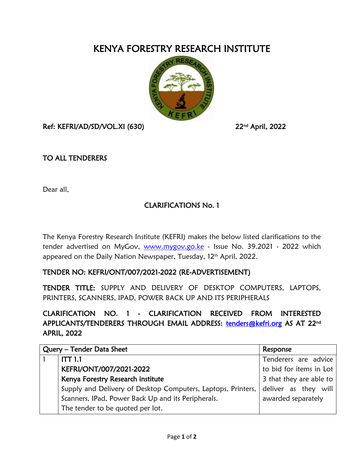## KENYA FORESTRY RESEARCH INSTITUTE



Ref: KEFRI/AD/SD/VOL.XI (630)

<sup>nd</sup> April, 2022

## TO ALL TENDERERS

Dear all,

## CLARIFICATIONS No. 1

The Kenya Forestry Research Institute (KEFRI) makes the below listed clarifications to the tender advertised on MyGov, [www.mygov.go.ke](http://www.mygov.go.ke/) - Issue No. 39.2021 - 2022 which appeared on the Daily Nation Newspaper, Tuesday, 12<sup>th</sup> April, 2022.

## TENDER NO: KEFRI/ONT/007/2021-2022 (RE-ADVERTISEMENT)

TENDER TITLE: SUPPLY AND DELIVERY OF DESKTOP COMPUTERS, LAPTOPS, PRINTERS, SCANNERS, IPAD, POWER BACK UP AND ITS PERIPHERALS

CLARIFICATION NO. 1 - CLARIFICATION RECEIVED FROM INTERESTED APPLICANTS/TENDERERS THROUGH EMAIL ADDRESS: [tenders@kefri.org](mailto:tenders@kefri.org) AS AT 22<sup>nd</sup> APRIL, 2022

| Query - Tender Data Sheet |                                                              | Response                |
|---------------------------|--------------------------------------------------------------|-------------------------|
|                           | ITT 1.1                                                      | Tenderers are advice    |
|                           | KEFRI/ONT/007/2021-2022                                      | to bid for items in Lot |
|                           | Kenya Forestry Research institute                            | 3 that they are able to |
|                           | Supply and Delivery of Desktop Computers, Laptops, Printers, | deliver as they will    |
|                           | Scanners, IPad, Power Back Up and its Peripherals.           | awarded separately      |
|                           | The tender to be quoted per lot.                             |                         |